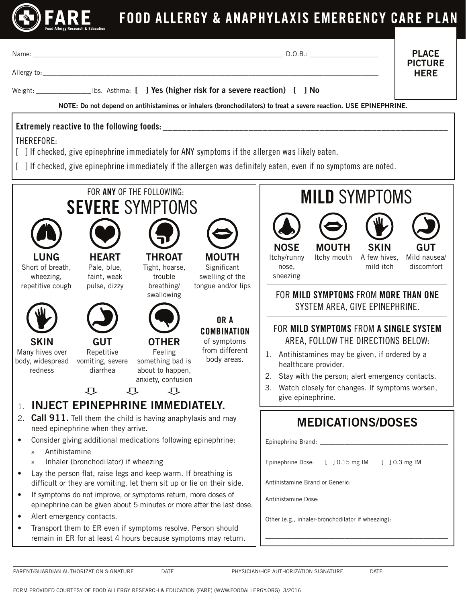

Name: \_\_\_\_\_\_\_\_\_\_\_\_\_\_\_\_\_\_\_\_\_\_\_\_\_\_\_\_\_\_\_\_\_\_\_\_\_\_\_\_\_\_\_\_\_\_\_\_\_\_\_\_\_\_\_\_\_\_\_\_\_\_\_\_\_\_\_\_\_\_\_\_\_ D.O.B.: \_\_\_\_\_\_\_\_\_\_\_\_\_\_\_\_\_\_\_\_

PLACE PICTURE **HFRF** 

Allergy to:\_\_\_\_\_\_\_\_\_\_\_\_\_\_\_\_\_\_\_\_\_\_\_\_\_\_\_\_\_\_\_\_\_\_\_\_\_\_\_\_\_\_\_\_\_\_\_\_\_\_\_\_\_\_\_\_\_\_\_\_\_\_\_\_\_\_\_\_\_\_\_\_\_\_\_\_\_\_\_\_\_\_\_\_\_\_\_\_\_\_\_\_\_\_\_\_\_\_

Weight: University Libs. Asthma: [ ] Yes (higher risk for a severe reaction) [ ] No

NOTE: Do not depend on antihistamines or inhalers (bronchodilators) to treat a severe reaction. USE EPINEPHRINE.

## Extremely reactive to the following foods:

THEREFORE:

- [ ] If checked, give epinephrine immediately for ANY symptoms if the allergen was likely eaten.
- [ ] If checked, give epinephrine immediately if the allergen was definitely eaten, even if no symptoms are noted.



FORM PROVIDED COURTESY OF FOOD ALLERGY RESEARCH & EDUCATION (FARE) (WWW.FOODALLERGY.ORG) 3/2016